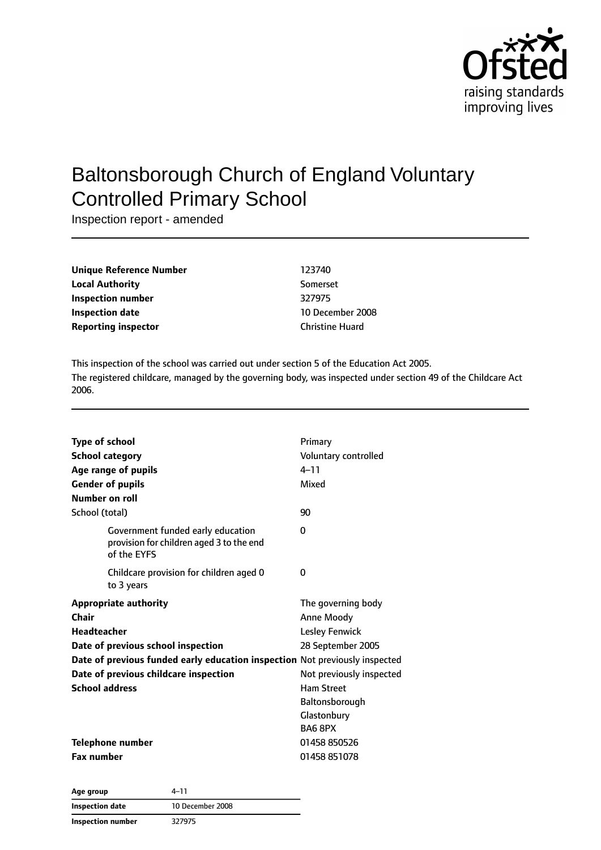

# Baltonsborough Church of England Voluntary Controlled Primary School

Inspection report - amended

| Unique Reference Number    | 123740                 |
|----------------------------|------------------------|
| <b>Local Authority</b>     | Somerset               |
| Inspection number          | 327975                 |
| <b>Inspection date</b>     | 10 December 2008       |
| <b>Reporting inspector</b> | <b>Christine Huard</b> |

This inspection of the school was carried out under section 5 of the Education Act 2005. The registered childcare, managed by the governing body, was inspected under section 49 of the Childcare Act 2006.

| Type of school<br><b>School category</b><br>Age range of pupils<br><b>Gender of pupils</b><br><b>Number on roll</b> | Primary<br>Voluntary controlled<br>$4 - 11$<br>Mixed |
|---------------------------------------------------------------------------------------------------------------------|------------------------------------------------------|
| School (total)                                                                                                      | 90                                                   |
| Government funded early education<br>provision for children aged 3 to the end<br>of the EYFS                        | 0                                                    |
| Childcare provision for children aged 0<br>to 3 years                                                               | 0                                                    |
| <b>Appropriate authority</b>                                                                                        | The governing body                                   |
| Chair                                                                                                               | Anne Moody                                           |
| <b>Headteacher</b>                                                                                                  | <b>Lesley Fenwick</b>                                |
| 28 September 2005<br>Date of previous school inspection                                                             |                                                      |
| Date of previous funded early education inspection Not previously inspected                                         |                                                      |
| Date of previous childcare inspection                                                                               | Not previously inspected                             |
| <b>School address</b>                                                                                               | <b>Ham Street</b>                                    |
|                                                                                                                     | Baltonsborough                                       |
|                                                                                                                     | Glastonbury                                          |
|                                                                                                                     | BA6 8PX                                              |
| Telephone number                                                                                                    | 01458 850526                                         |
| <b>Fax number</b>                                                                                                   | 01458 851078                                         |

**Age group** 4–11 **Inspection date** 10 December 2008 **Inspection number** 327975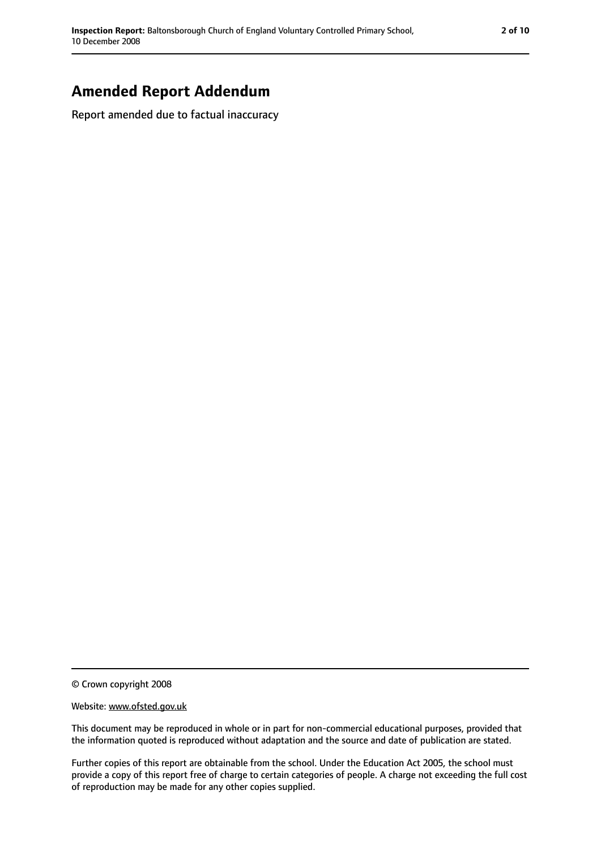## **Amended Report Addendum**

Report amended due to factual inaccuracy

© Crown copyright 2008

#### Website: www.ofsted.gov.uk

This document may be reproduced in whole or in part for non-commercial educational purposes, provided that the information quoted is reproduced without adaptation and the source and date of publication are stated.

Further copies of this report are obtainable from the school. Under the Education Act 2005, the school must provide a copy of this report free of charge to certain categories of people. A charge not exceeding the full cost of reproduction may be made for any other copies supplied.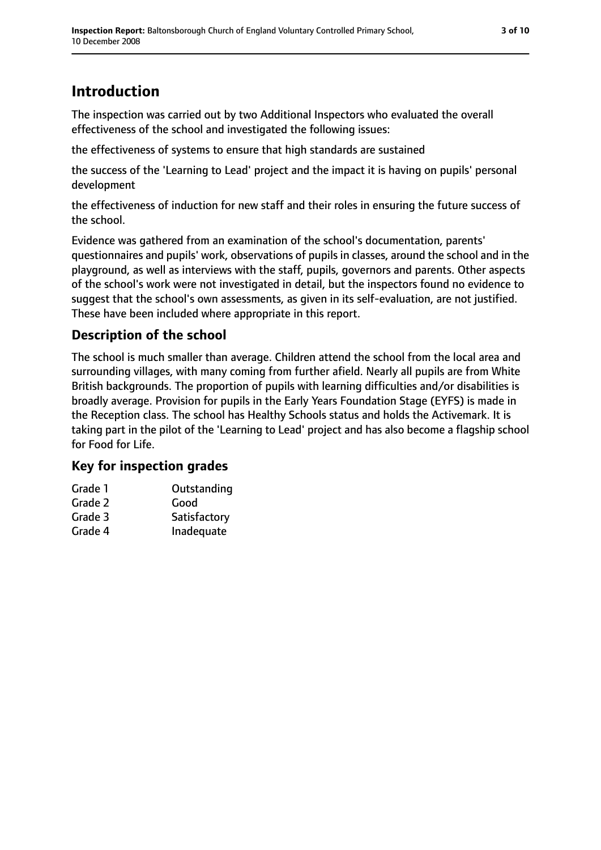## **Introduction**

The inspection was carried out by two Additional Inspectors who evaluated the overall effectiveness of the school and investigated the following issues:

the effectiveness of systems to ensure that high standards are sustained

the success of the 'Learning to Lead' project and the impact it is having on pupils' personal development

the effectiveness of induction for new staff and their roles in ensuring the future success of the school.

Evidence was gathered from an examination of the school's documentation, parents' questionnaires and pupils' work, observations of pupils in classes, around the school and in the playground, as well as interviews with the staff, pupils, governors and parents. Other aspects of the school's work were not investigated in detail, but the inspectors found no evidence to suggest that the school's own assessments, as given in its self-evaluation, are not justified. These have been included where appropriate in this report.

## **Description of the school**

The school is much smaller than average. Children attend the school from the local area and surrounding villages, with many coming from further afield. Nearly all pupils are from White British backgrounds. The proportion of pupils with learning difficulties and/or disabilities is broadly average. Provision for pupils in the Early Years Foundation Stage (EYFS) is made in the Reception class. The school has Healthy Schools status and holds the Activemark. It is taking part in the pilot of the 'Learning to Lead' project and has also become a flagship school for Food for Life.

### **Key for inspection grades**

| Outstanding  |
|--------------|
|              |
| Satisfactory |
| Inadequate   |
|              |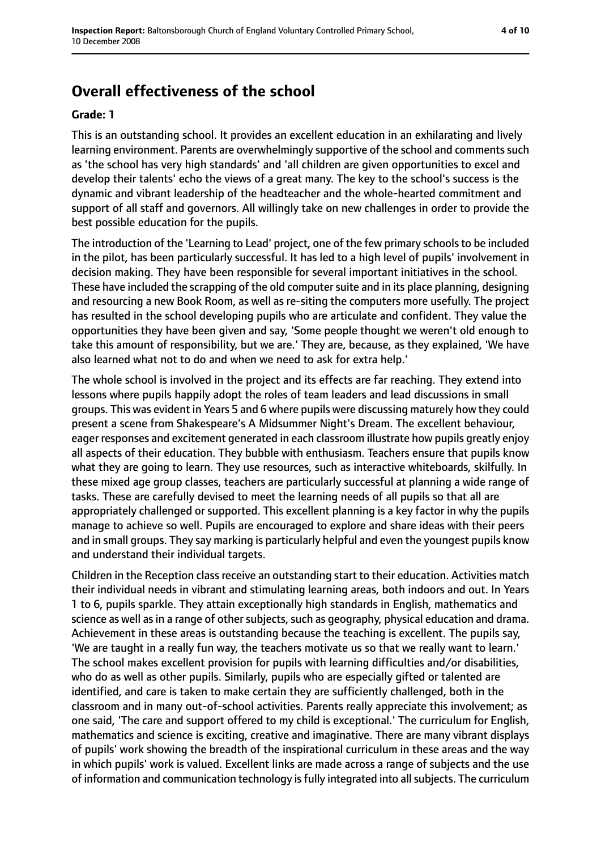## **Overall effectiveness of the school**

#### **Grade: 1**

This is an outstanding school. It provides an excellent education in an exhilarating and lively learning environment. Parents are overwhelmingly supportive of the school and comments such as 'the school has very high standards' and 'all children are given opportunities to excel and develop their talents' echo the views of a great many. The key to the school's success is the dynamic and vibrant leadership of the headteacher and the whole-hearted commitment and support of all staff and governors. All willingly take on new challenges in order to provide the best possible education for the pupils.

The introduction of the 'Learning to Lead' project, one of the few primary schoolsto be included in the pilot, has been particularly successful. It has led to a high level of pupils' involvement in decision making. They have been responsible for several important initiatives in the school. These have included the scrapping of the old computer suite and in its place planning, designing and resourcing a new Book Room, as well as re-siting the computers more usefully. The project has resulted in the school developing pupils who are articulate and confident. They value the opportunities they have been given and say, 'Some people thought we weren't old enough to take this amount of responsibility, but we are.' They are, because, as they explained, 'We have also learned what not to do and when we need to ask for extra help.'

The whole school is involved in the project and its effects are far reaching. They extend into lessons where pupils happily adopt the roles of team leaders and lead discussions in small groups. This was evident in Years 5 and 6 where pupils were discussing maturely how they could present a scene from Shakespeare's A Midsummer Night's Dream. The excellent behaviour, eager responses and excitement generated in each classroom illustrate how pupils greatly enjoy all aspects of their education. They bubble with enthusiasm. Teachers ensure that pupils know what they are going to learn. They use resources, such as interactive whiteboards, skilfully. In these mixed age group classes, teachers are particularly successful at planning a wide range of tasks. These are carefully devised to meet the learning needs of all pupils so that all are appropriately challenged or supported. This excellent planning is a key factor in why the pupils manage to achieve so well. Pupils are encouraged to explore and share ideas with their peers and in small groups. They say marking is particularly helpful and even the youngest pupils know and understand their individual targets.

Children in the Reception class receive an outstanding start to their education. Activities match their individual needs in vibrant and stimulating learning areas, both indoors and out. In Years 1 to 6, pupils sparkle. They attain exceptionally high standards in English, mathematics and science as well as in a range of other subjects, such as geography, physical education and drama. Achievement in these areas is outstanding because the teaching is excellent. The pupils say, 'We are taught in a really fun way, the teachers motivate us so that we really want to learn.' The school makes excellent provision for pupils with learning difficulties and/or disabilities, who do as well as other pupils. Similarly, pupils who are especially gifted or talented are identified, and care is taken to make certain they are sufficiently challenged, both in the classroom and in many out-of-school activities. Parents really appreciate this involvement; as one said, 'The care and support offered to my child is exceptional.' The curriculum for English, mathematics and science is exciting, creative and imaginative. There are many vibrant displays of pupils' work showing the breadth of the inspirational curriculum in these areas and the way in which pupils' work is valued. Excellent links are made across a range of subjects and the use of information and communication technology is fully integrated into all subjects. The curriculum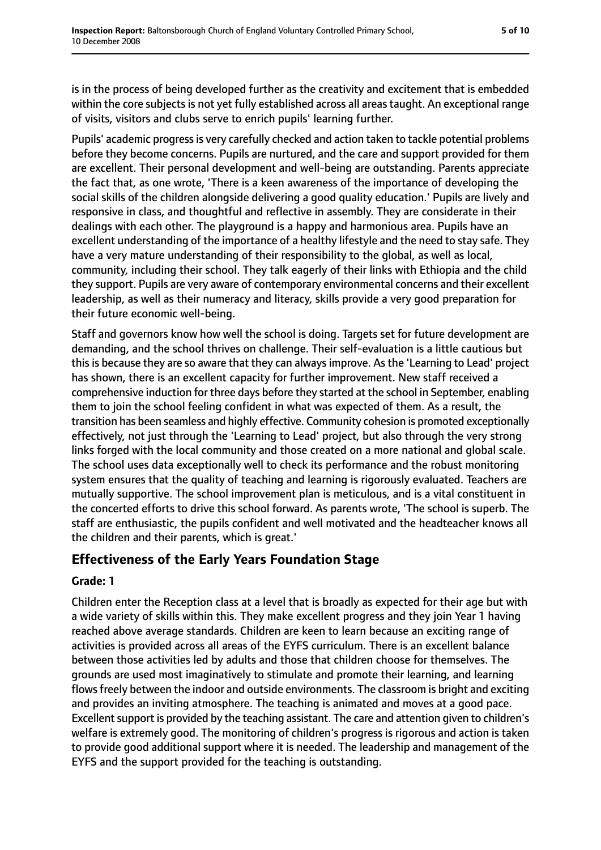is in the process of being developed further as the creativity and excitement that is embedded within the core subjects is not yet fully established across all areas taught. An exceptional range of visits, visitors and clubs serve to enrich pupils' learning further.

Pupils' academic progress is very carefully checked and action taken to tackle potential problems before they become concerns. Pupils are nurtured, and the care and support provided for them are excellent. Their personal development and well-being are outstanding. Parents appreciate the fact that, as one wrote, 'There is a keen awareness of the importance of developing the social skills of the children alongside delivering a good quality education.' Pupils are lively and responsive in class, and thoughtful and reflective in assembly. They are considerate in their dealings with each other. The playground is a happy and harmonious area. Pupils have an excellent understanding of the importance of a healthy lifestyle and the need to stay safe. They have a very mature understanding of their responsibility to the global, as well as local, community, including their school. They talk eagerly of their links with Ethiopia and the child they support. Pupils are very aware of contemporary environmental concerns and their excellent leadership, as well as their numeracy and literacy, skills provide a very good preparation for their future economic well-being.

Staff and governors know how well the school is doing. Targets set for future development are demanding, and the school thrives on challenge. Their self-evaluation is a little cautious but this is because they are so aware that they can always improve. As the 'Learning to Lead' project has shown, there is an excellent capacity for further improvement. New staff received a comprehensive induction for three days before they started at the school in September, enabling them to join the school feeling confident in what was expected of them. As a result, the transition has been seamless and highly effective. Community cohesion is promoted exceptionally effectively, not just through the 'Learning to Lead' project, but also through the very strong links forged with the local community and those created on a more national and global scale. The school uses data exceptionally well to check its performance and the robust monitoring system ensures that the quality of teaching and learning is rigorously evaluated. Teachers are mutually supportive. The school improvement plan is meticulous, and is a vital constituent in the concerted efforts to drive this school forward. As parents wrote, 'The school is superb. The staff are enthusiastic, the pupils confident and well motivated and the headteacher knows all the children and their parents, which is great.'

### **Effectiveness of the Early Years Foundation Stage**

### **Grade: 1**

Children enter the Reception class at a level that is broadly as expected for their age but with a wide variety of skills within this. They make excellent progress and they join Year 1 having reached above average standards. Children are keen to learn because an exciting range of activities is provided across all areas of the EYFS curriculum. There is an excellent balance between those activities led by adults and those that children choose for themselves. The grounds are used most imaginatively to stimulate and promote their learning, and learning flows freely between the indoor and outside environments. The classroom is bright and exciting and provides an inviting atmosphere. The teaching is animated and moves at a good pace. Excellent support is provided by the teaching assistant. The care and attention given to children's welfare is extremely good. The monitoring of children's progress is rigorous and action is taken to provide good additional support where it is needed. The leadership and management of the EYFS and the support provided for the teaching is outstanding.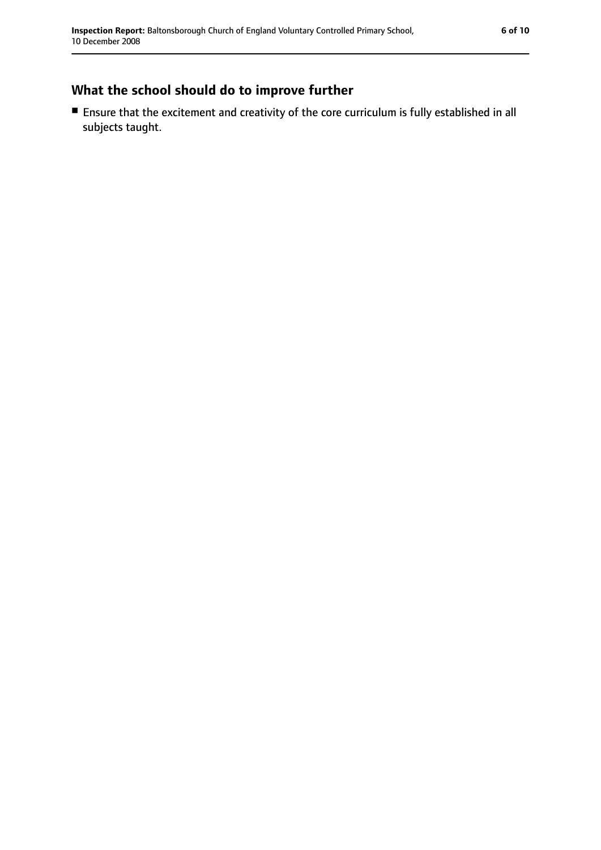## **What the school should do to improve further**

■ Ensure that the excitement and creativity of the core curriculum is fully established in all subjects taught.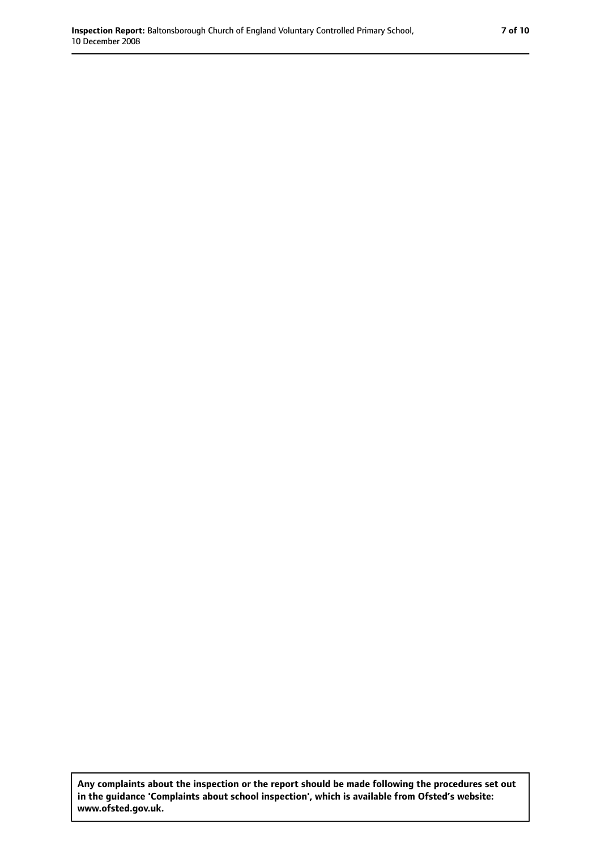**Any complaints about the inspection or the report should be made following the procedures set out in the guidance 'Complaints about school inspection', which is available from Ofsted's website: www.ofsted.gov.uk.**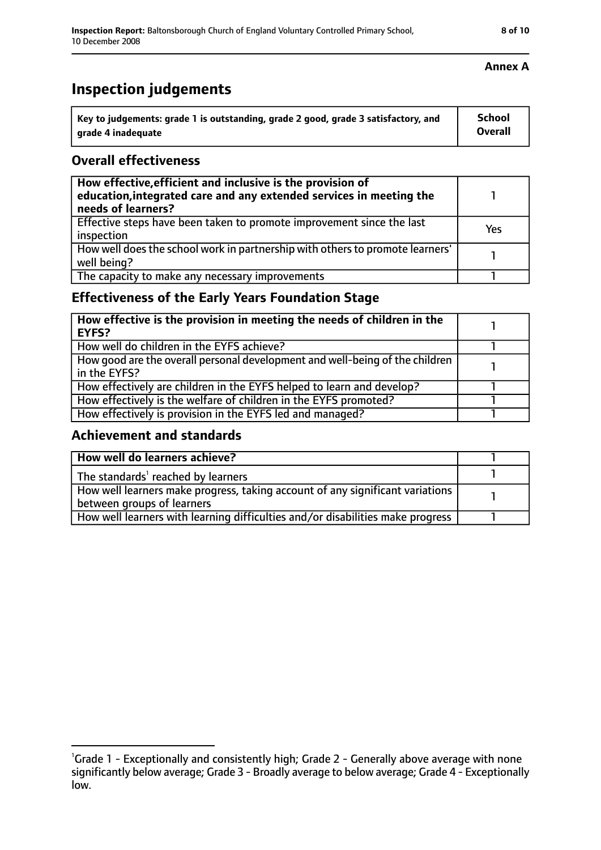#### **Annex A**

## **Inspection judgements**

| Key to judgements: grade 1 is outstanding, grade 2 good, grade 3 satisfactory, and | <b>School</b>  |
|------------------------------------------------------------------------------------|----------------|
| arade 4 inadequate                                                                 | <b>Overall</b> |

### **Overall effectiveness**

| How effective, efficient and inclusive is the provision of<br>education, integrated care and any extended services in meeting the<br>needs of learners? |     |
|---------------------------------------------------------------------------------------------------------------------------------------------------------|-----|
| Effective steps have been taken to promote improvement since the last<br>inspection                                                                     | Yes |
| How well does the school work in partnership with others to promote learners'<br>well being?                                                            |     |
| The capacity to make any necessary improvements                                                                                                         |     |

### **Effectiveness of the Early Years Foundation Stage**

| How effective is the provision in meeting the needs of children in the<br><b>EYFS?</b>       |  |
|----------------------------------------------------------------------------------------------|--|
| How well do children in the EYFS achieve?                                                    |  |
| How good are the overall personal development and well-being of the children<br>in the EYFS? |  |
| How effectively are children in the EYFS helped to learn and develop?                        |  |
| How effectively is the welfare of children in the EYFS promoted?                             |  |
| How effectively is provision in the EYFS led and managed?                                    |  |

### **Achievement and standards**

| How well do learners achieve?                                                  |  |
|--------------------------------------------------------------------------------|--|
| The standards <sup>1</sup> reached by learners                                 |  |
| How well learners make progress, taking account of any significant variations  |  |
| between groups of learners                                                     |  |
| How well learners with learning difficulties and/or disabilities make progress |  |

<sup>&</sup>lt;sup>1</sup>Grade 1 - Exceptionally and consistently high; Grade 2 - Generally above average with none significantly below average; Grade 3 - Broadly average to below average; Grade 4 - Exceptionally low.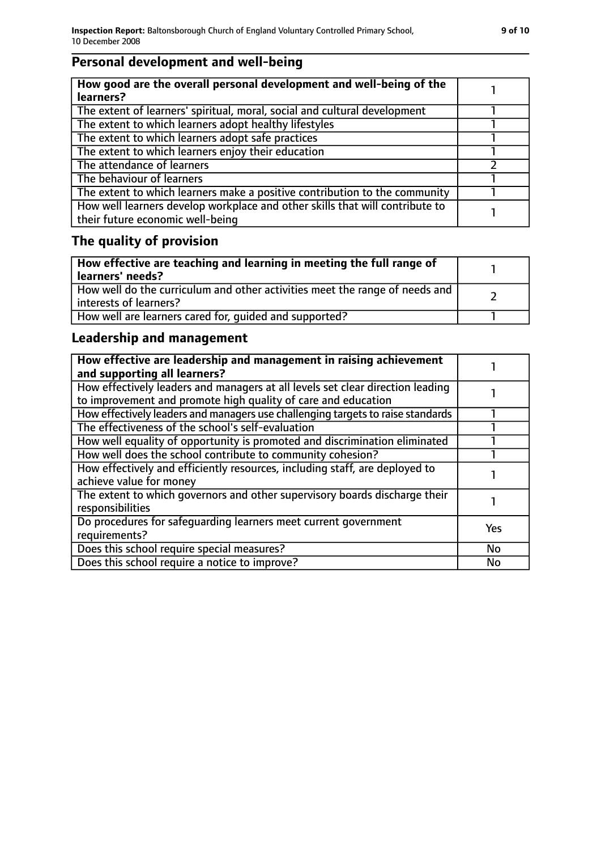## **Personal development and well-being**

## **The quality of provision**

| How effective are teaching and learning in meeting the full range of<br>learners' needs?              |  |
|-------------------------------------------------------------------------------------------------------|--|
| How well do the curriculum and other activities meet the range of needs and<br>interests of learners? |  |
| How well are learners cared for, quided and supported?                                                |  |

## **Leadership and management**

| How effective are leadership and management in raising achievement<br>and supporting all learners?                                              |            |
|-------------------------------------------------------------------------------------------------------------------------------------------------|------------|
| How effectively leaders and managers at all levels set clear direction leading<br>to improvement and promote high quality of care and education |            |
| How effectively leaders and managers use challenging targets to raise standards                                                                 |            |
| The effectiveness of the school's self-evaluation                                                                                               |            |
| How well equality of opportunity is promoted and discrimination eliminated                                                                      |            |
| How well does the school contribute to community cohesion?                                                                                      |            |
| How effectively and efficiently resources, including staff, are deployed to<br>achieve value for money                                          |            |
| The extent to which governors and other supervisory boards discharge their<br>responsibilities                                                  |            |
| Do procedures for safequarding learners meet current government<br>requirements?                                                                | <b>Yes</b> |
| Does this school require special measures?                                                                                                      | <b>No</b>  |
| Does this school require a notice to improve?                                                                                                   | No         |